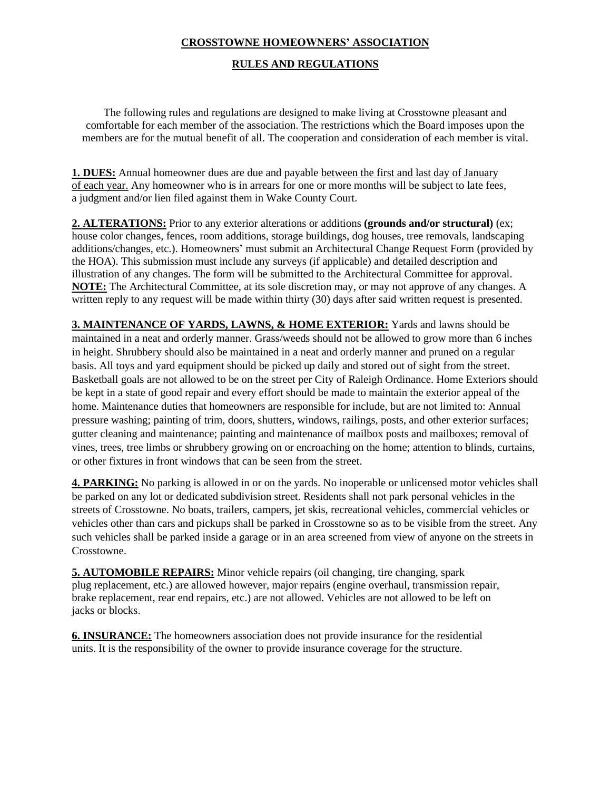## **CROSSTOWNE HOMEOWNERS' ASSOCIATION**

#### **RULES AND REGULATIONS**

The following rules and regulations are designed to make living at Crosstowne pleasant and comfortable for each member of the association. The restrictions which the Board imposes upon the members are for the mutual benefit of all. The cooperation and consideration of each member is vital.

**1. DUES:** Annual homeowner dues are due and payable between the first and last day of January of each year. Any homeowner who is in arrears for one or more months will be subject to late fees, a judgment and/or lien filed against them in Wake County Court.

**2. ALTERATIONS:** Prior to any exterior alterations or additions **(grounds and/or structural)** (ex; house color changes, fences, room additions, storage buildings, dog houses, tree removals, landscaping additions/changes, etc.). Homeowners' must submit an Architectural Change Request Form (provided by the HOA). This submission must include any surveys (if applicable) and detailed description and illustration of any changes. The form will be submitted to the Architectural Committee for approval. **NOTE:** The Architectural Committee, at its sole discretion may, or may not approve of any changes. A written reply to any request will be made within thirty (30) days after said written request is presented.

**3. MAINTENANCE OF YARDS, LAWNS, & HOME EXTERIOR:** Yards and lawns should be maintained in a neat and orderly manner. Grass/weeds should not be allowed to grow more than 6 inches in height. Shrubbery should also be maintained in a neat and orderly manner and pruned on a regular basis. All toys and yard equipment should be picked up daily and stored out of sight from the street. Basketball goals are not allowed to be on the street per City of Raleigh Ordinance. Home Exteriors should be kept in a state of good repair and every effort should be made to maintain the exterior appeal of the home. Maintenance duties that homeowners are responsible for include, but are not limited to: Annual pressure washing; painting of trim, doors, shutters, windows, railings, posts, and other exterior surfaces; gutter cleaning and maintenance; painting and maintenance of mailbox posts and mailboxes; removal of vines, trees, tree limbs or shrubbery growing on or encroaching on the home; attention to blinds, curtains, or other fixtures in front windows that can be seen from the street.

**4. PARKING:** No parking is allowed in or on the yards. No inoperable or unlicensed motor vehicles shall be parked on any lot or dedicated subdivision street. Residents shall not park personal vehicles in the streets of Crosstowne. No boats, trailers, campers, jet skis, recreational vehicles, commercial vehicles or vehicles other than cars and pickups shall be parked in Crosstowne so as to be visible from the street. Any such vehicles shall be parked inside a garage or in an area screened from view of anyone on the streets in Crosstowne.

**5. AUTOMOBILE REPAIRS:** Minor vehicle repairs (oil changing, tire changing, spark plug replacement, etc.) are allowed however, major repairs (engine overhaul, transmission repair, brake replacement, rear end repairs, etc.) are not allowed. Vehicles are not allowed to be left on jacks or blocks.

**6. INSURANCE:** The homeowners association does not provide insurance for the residential units. It is the responsibility of the owner to provide insurance coverage for the structure.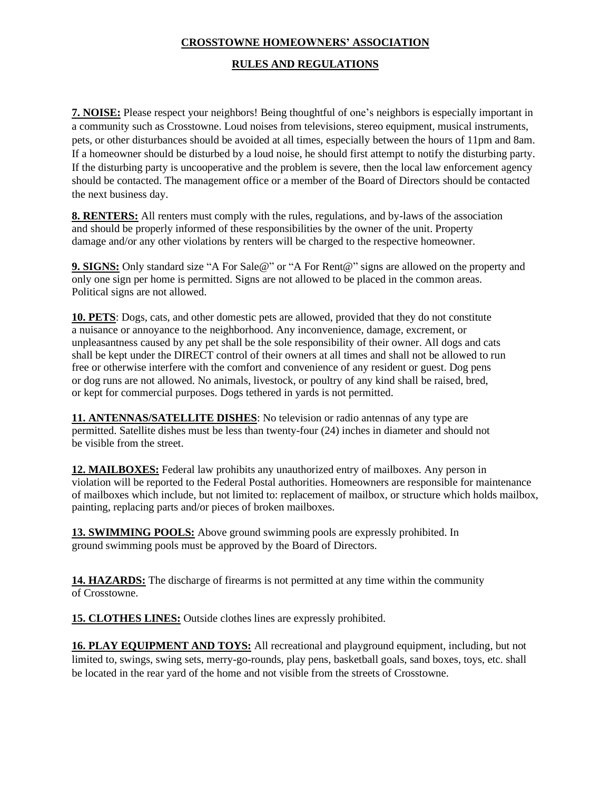# **CROSSTOWNE HOMEOWNERS' ASSOCIATION**

### **RULES AND REGULATIONS**

**7. NOISE:** Please respect your neighbors! Being thoughtful of one's neighbors is especially important in a community such as Crosstowne. Loud noises from televisions, stereo equipment, musical instruments, pets, or other disturbances should be avoided at all times, especially between the hours of 11pm and 8am. If a homeowner should be disturbed by a loud noise, he should first attempt to notify the disturbing party. If the disturbing party is uncooperative and the problem is severe, then the local law enforcement agency should be contacted. The management office or a member of the Board of Directors should be contacted the next business day.

**8. RENTERS:** All renters must comply with the rules, regulations, and by-laws of the association and should be properly informed of these responsibilities by the owner of the unit. Property damage and/or any other violations by renters will be charged to the respective homeowner.

**9. SIGNS:** Only standard size "A For Sale@" or "A For Rent@" signs are allowed on the property and only one sign per home is permitted. Signs are not allowed to be placed in the common areas. Political signs are not allowed.

**10. PETS**: Dogs, cats, and other domestic pets are allowed, provided that they do not constitute a nuisance or annoyance to the neighborhood. Any inconvenience, damage, excrement, or unpleasantness caused by any pet shall be the sole responsibility of their owner. All dogs and cats shall be kept under the DIRECT control of their owners at all times and shall not be allowed to run free or otherwise interfere with the comfort and convenience of any resident or guest. Dog pens or dog runs are not allowed. No animals, livestock, or poultry of any kind shall be raised, bred, or kept for commercial purposes. Dogs tethered in yards is not permitted.

**11. ANTENNAS/SATELLITE DISHES**: No television or radio antennas of any type are permitted. Satellite dishes must be less than twenty-four (24) inches in diameter and should not be visible from the street.

**12. MAILBOXES:** Federal law prohibits any unauthorized entry of mailboxes. Any person in violation will be reported to the Federal Postal authorities. Homeowners are responsible for maintenance of mailboxes which include, but not limited to: replacement of mailbox, or structure which holds mailbox, painting, replacing parts and/or pieces of broken mailboxes.

**13. SWIMMING POOLS:** Above ground swimming pools are expressly prohibited. In ground swimming pools must be approved by the Board of Directors.

**14. HAZARDS:** The discharge of firearms is not permitted at any time within the community of Crosstowne.

**15. CLOTHES LINES:** Outside clothes lines are expressly prohibited.

**16. PLAY EQUIPMENT AND TOYS:** All recreational and playground equipment, including, but not limited to, swings, swing sets, merry-go-rounds, play pens, basketball goals, sand boxes, toys, etc. shall be located in the rear yard of the home and not visible from the streets of Crosstowne.